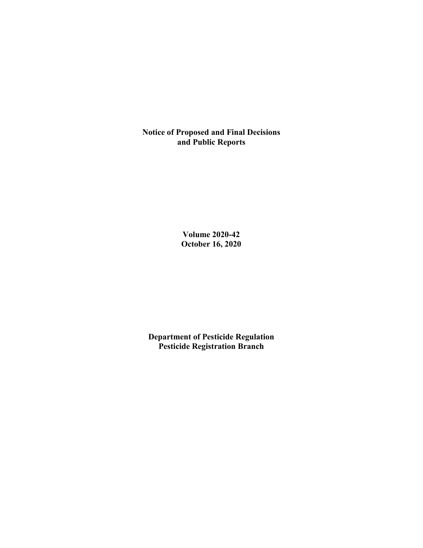**Notice of Proposed and Final Decisions and Public Reports**

> **Volume 2020-42 October 16, 2020**

**Department of Pesticide Regulation Pesticide Registration Branch**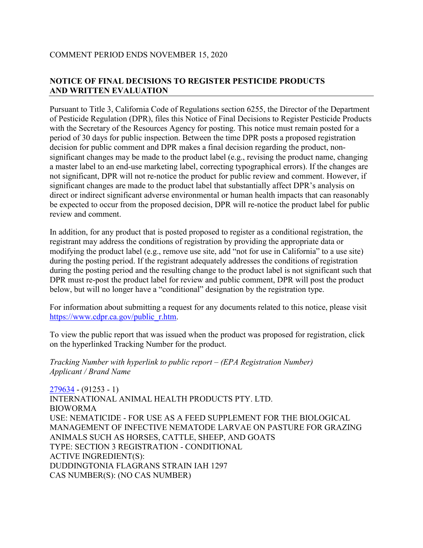# **NOTICE OF FINAL DECISIONS TO REGISTER PESTICIDE PRODUCTS AND WRITTEN EVALUATION**

Pursuant to Title 3, California Code of Regulations section 6255, the Director of the Department of Pesticide Regulation (DPR), files this Notice of Final Decisions to Register Pesticide Products with the Secretary of the Resources Agency for posting. This notice must remain posted for a period of 30 days for public inspection. Between the time DPR posts a proposed registration decision for public comment and DPR makes a final decision regarding the product, nonsignificant changes may be made to the product label (e.g., revising the product name, changing a master label to an end-use marketing label, correcting typographical errors). If the changes are not significant, DPR will not re-notice the product for public review and comment. However, if significant changes are made to the product label that substantially affect DPR's analysis on direct or indirect significant adverse environmental or human health impacts that can reasonably be expected to occur from the proposed decision, DPR will re-notice the product label for public review and comment.

In addition, for any product that is posted proposed to register as a conditional registration, the registrant may address the conditions of registration by providing the appropriate data or modifying the product label (e.g., remove use site, add "not for use in California" to a use site) during the posting period. If the registrant adequately addresses the conditions of registration during the posting period and the resulting change to the product label is not significant such that DPR must re-post the product label for review and public comment, DPR will post the product below, but will no longer have a "conditional" designation by the registration type.

For information about submitting a request for any documents related to this notice, please visit [https://www.cdpr.ca.gov/public\\_r.htm.](https://www.cdpr.ca.gov/public_r.htm)

To view the public report that was issued when the product was proposed for registration, click on the hyperlinked Tracking Number for the product.

*Tracking Number with hyperlink to public report – (EPA Registration Number) Applicant / Brand Name*

[279634](https://www.cdpr.ca.gov/docs/registration/nod/public_reports/279634.pdf) - (91253 - 1) INTERNATIONAL ANIMAL HEALTH PRODUCTS PTY. LTD. BIOWORMA USE: NEMATICIDE - FOR USE AS A FEED SUPPLEMENT FOR THE BIOLOGICAL MANAGEMENT OF INFECTIVE NEMATODE LARVAE ON PASTURE FOR GRAZING ANIMALS SUCH AS HORSES, CATTLE, SHEEP, AND GOATS TYPE: SECTION 3 REGISTRATION - CONDITIONAL ACTIVE INGREDIENT(S): DUDDINGTONIA FLAGRANS STRAIN IAH 1297 CAS NUMBER(S): (NO CAS NUMBER)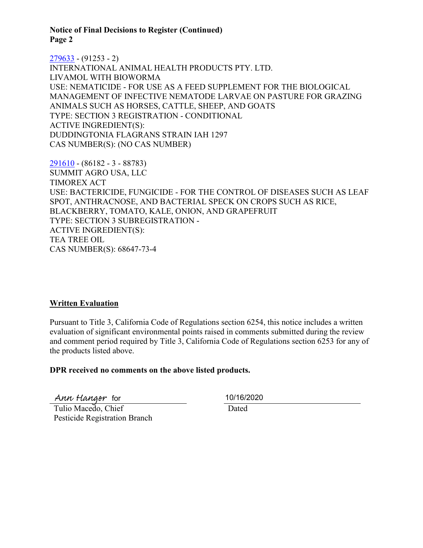**Notice of Final Decisions to Register (Continued) Page 2** 

[279633](https://www.cdpr.ca.gov/docs/registration/nod/public_reports/279633.pdf) - (91253 - 2) INTERNATIONAL ANIMAL HEALTH PRODUCTS PTY. LTD. LIVAMOL WITH BIOWORMA USE: NEMATICIDE - FOR USE AS A FEED SUPPLEMENT FOR THE BIOLOGICAL MANAGEMENT OF INFECTIVE NEMATODE LARVAE ON PASTURE FOR GRAZING ANIMALS SUCH AS HORSES, CATTLE, SHEEP, AND GOATS TYPE: SECTION 3 REGISTRATION - CONDITIONAL ACTIVE INGREDIENT(S): DUDDINGTONIA FLAGRANS STRAIN IAH 1297 CAS NUMBER(S): (NO CAS NUMBER)

[291610](https://www.cdpr.ca.gov/docs/registration/nod/public_reports/291610.pdf) - (86182 - 3 - 88783) SUMMIT AGRO USA, LLC TIMOREX ACT USE: BACTERICIDE, FUNGICIDE - FOR THE CONTROL OF DISEASES SUCH AS LEAF SPOT, ANTHRACNOSE, AND BACTERIAL SPECK ON CROPS SUCH AS RICE, BLACKBERRY, TOMATO, KALE, ONION, AND GRAPEFRUIT TYPE: SECTION 3 SUBREGISTRATION - ACTIVE INGREDIENT(S): TEA TREE OIL CAS NUMBER(S): 68647-73-4

## **Written Evaluation**

Pursuant to Title 3, California Code of Regulations section 6254, this notice includes a written evaluation of significant environmental points raised in comments submitted during the review and comment period required by Title 3, California Code of Regulations section 6253 for any of the products listed above.

#### **DPR received no comments on the above listed products.**

Ann Hanger for 10/16/2020

 Tulio Macedo, Chief Pesticide Registration Branch

Dated